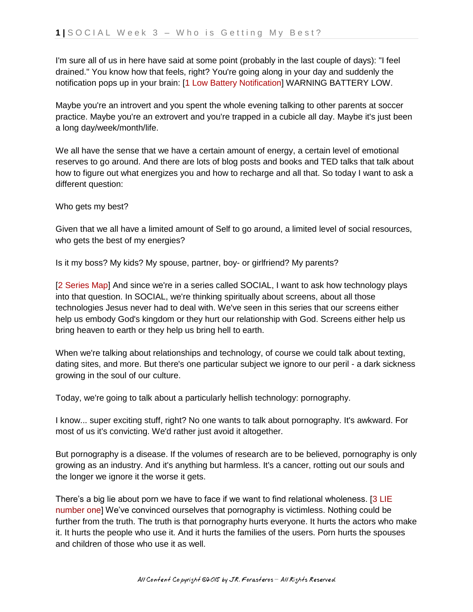I'm sure all of us in here have said at some point (probably in the last couple of days): "I feel drained." You know how that feels, right? You're going along in your day and suddenly the notification pops up in your brain: [1 Low Battery Notification] WARNING BATTERY LOW.

Maybe you're an introvert and you spent the whole evening talking to other parents at soccer practice. Maybe you're an extrovert and you're trapped in a cubicle all day. Maybe it's just been a long day/week/month/life.

We all have the sense that we have a certain amount of energy, a certain level of emotional reserves to go around. And there are lots of blog posts and books and TED talks that talk about how to figure out what energizes you and how to recharge and all that. So today I want to ask a different question:

Who gets my best?

Given that we all have a limited amount of Self to go around, a limited level of social resources, who gets the best of my energies?

Is it my boss? My kids? My spouse, partner, boy- or girlfriend? My parents?

[2 Series Map] And since we're in a series called SOCIAL, I want to ask how technology plays into that question. In SOCIAL, we're thinking spiritually about screens, about all those technologies Jesus never had to deal with. We've seen in this series that our screens either help us embody God's kingdom or they hurt our relationship with God. Screens either help us bring heaven to earth or they help us bring hell to earth.

When we're talking about relationships and technology, of course we could talk about texting, dating sites, and more. But there's one particular subject we ignore to our peril - a dark sickness growing in the soul of our culture.

Today, we're going to talk about a particularly hellish technology: pornography.

I know... super exciting stuff, right? No one wants to talk about pornography. It's awkward. For most of us it's convicting. We'd rather just avoid it altogether.

But pornography is a disease. If the volumes of research are to be believed, pornography is only growing as an industry. And it's anything but harmless. It's a cancer, rotting out our souls and the longer we ignore it the worse it gets.

There's a big lie about porn we have to face if we want to find relational wholeness. [3 LIE number one] We've convinced ourselves that pornography is victimless. Nothing could be further from the truth. The truth is that pornography hurts everyone. It hurts the actors who make it. It hurts the people who use it. And it hurts the families of the users. Porn hurts the spouses and children of those who use it as well.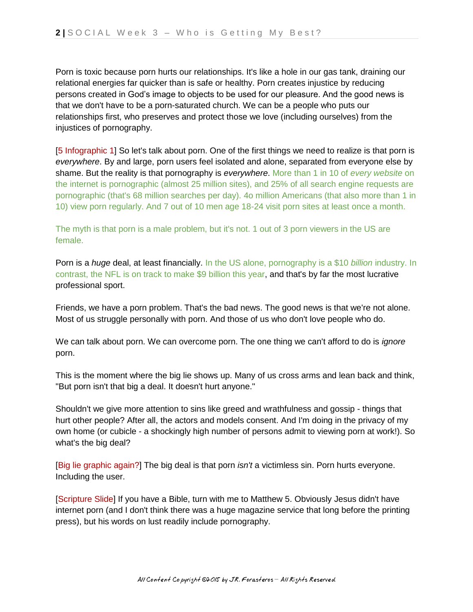Porn is toxic because porn hurts our relationships. It's like a hole in our gas tank, draining our relational energies far quicker than is safe or healthy. Porn creates injustice by reducing persons created in God's image to objects to be used for our pleasure. And the good news is that we don't have to be a porn-saturated church. We can be a people who puts our relationships first, who preserves and protect those we love (including ourselves) from the injustices of pornography.

[5 Infographic 1] So let's talk about porn. One of the first things we need to realize is that porn is *everywhere*. By and large, porn users feel isolated and alone, separated from everyone else by shame. But the reality is that pornography is *everywhere*. More than 1 in 10 of *every website* on the internet is pornographic (almost 25 million sites), and 25% of all search engine requests are pornographic (that's 68 million searches per day). 4o million Americans (that also more than 1 in 10) view porn regularly. And 7 out of 10 men age 18-24 visit porn sites at least once a month.

The myth is that porn is a male problem, but it's not. 1 out of 3 porn viewers in the US are female.

Porn is a *huge* deal, at least financially. In the US alone, pornography is a \$10 *billion* industry. In contrast, the NFL is on track to make \$9 billion this year, and that's by far the most lucrative professional sport.

Friends, we have a porn problem. That's the bad news. The good news is that we're not alone. Most of us struggle personally with porn. And those of us who don't love people who do.

We can talk about porn. We can overcome porn. The one thing we can't afford to do is *ignore* porn.

This is the moment where the big lie shows up. Many of us cross arms and lean back and think, "But porn isn't that big a deal. It doesn't hurt anyone."

Shouldn't we give more attention to sins like greed and wrathfulness and gossip - things that hurt other people? After all, the actors and models consent. And I'm doing in the privacy of my own home (or cubicle - a shockingly high number of persons admit to viewing porn at work!). So what's the big deal?

[Big lie graphic again?] The big deal is that porn *isn't* a victimless sin. Porn hurts everyone. Including the user.

[Scripture Slide] If you have a Bible, turn with me to Matthew 5. Obviously Jesus didn't have internet porn (and I don't think there was a huge magazine service that long before the printing press), but his words on lust readily include pornography.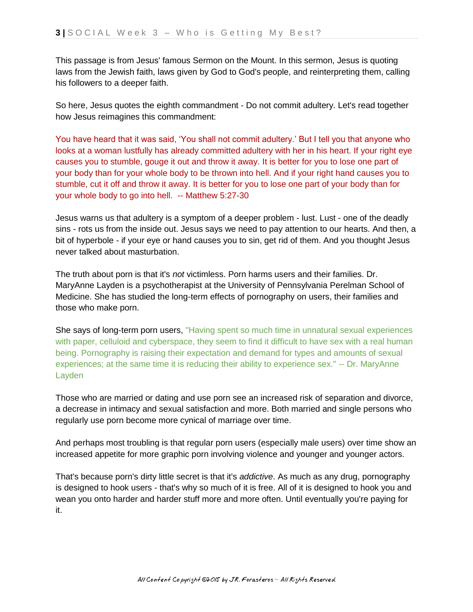This passage is from Jesus' famous Sermon on the Mount. In this sermon, Jesus is quoting laws from the Jewish faith, laws given by God to God's people, and reinterpreting them, calling his followers to a deeper faith.

So here, Jesus quotes the eighth commandment - Do not commit adultery. Let's read together how Jesus reimagines this commandment:

You have heard that it was said, 'You shall not commit adultery.' But I tell you that anyone who looks at a woman lustfully has already committed adultery with her in his heart. If your right eye causes you to stumble, gouge it out and throw it away. It is better for you to lose one part of your body than for your whole body to be thrown into hell. And if your right hand causes you to stumble, cut it off and throw it away. It is better for you to lose one part of your body than for your whole body to go into hell. -- Matthew 5:27-30

Jesus warns us that adultery is a symptom of a deeper problem - lust. Lust - one of the deadly sins - rots us from the inside out. Jesus says we need to pay attention to our hearts. And then, a bit of hyperbole - if your eye or hand causes you to sin, get rid of them. And you thought Jesus never talked about masturbation.

The truth about porn is that it's *not* victimless. Porn harms users and their families. Dr. MaryAnne Layden is a psychotherapist at the University of Pennsylvania Perelman School of Medicine. She has studied the long-term effects of pornography on users, their families and those who make porn.

She says of long-term porn users, "Having spent so much time in unnatural sexual experiences with paper, celluloid and cyberspace, they seem to find it difficult to have sex with a real human being. Pornography is raising their expectation and demand for types and amounts of sexual experiences; at the same time it is reducing their ability to experience sex." -- Dr. MaryAnne Layden

Those who are married or dating and use porn see an increased risk of separation and divorce, a decrease in intimacy and sexual satisfaction and more. Both married and single persons who regularly use porn become more cynical of marriage over time.

And perhaps most troubling is that regular porn users (especially male users) over time show an increased appetite for more graphic porn involving violence and younger and younger actors.

That's because porn's dirty little secret is that it's *addictive*. As much as any drug, pornography is designed to hook users - that's why so much of it is free. All of it is designed to hook you and wean you onto harder and harder stuff more and more often. Until eventually you're paying for it.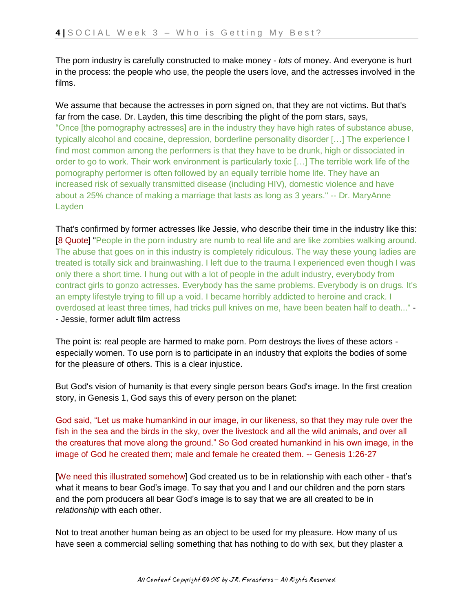The porn industry is carefully constructed to make money - *lots* of money. And everyone is hurt in the process: the people who use, the people the users love, and the actresses involved in the films.

We assume that because the actresses in porn signed on, that they are not victims. But that's far from the case. Dr. Layden, this time describing the plight of the porn stars, says, "Once [the pornography actresses] are in the industry they have high rates of substance abuse, typically alcohol and cocaine, depression, borderline personality disorder […] The experience I find most common among the performers is that they have to be drunk, high or dissociated in order to go to work. Their work environment is particularly toxic […] The terrible work life of the pornography performer is often followed by an equally terrible home life. They have an increased risk of sexually transmitted disease (including HIV), domestic violence and have about a 25% chance of making a marriage that lasts as long as 3 years." -- Dr. MaryAnne Layden

That's confirmed by former actresses like Jessie, who describe their time in the industry like this: [8 Quote] "People in the porn industry are numb to real life and are like zombies walking around. The abuse that goes on in this industry is completely ridiculous. The way these young ladies are treated is totally sick and brainwashing. I left due to the trauma I experienced even though I was only there a short time. I hung out with a lot of people in the adult industry, everybody from contract girls to gonzo actresses. Everybody has the same problems. Everybody is on drugs. It's an empty lifestyle trying to fill up a void. I became horribly addicted to heroine and crack. I overdosed at least three times, had tricks pull knives on me, have been beaten half to death..." - - Jessie, former adult film actress

The point is: real people are harmed to make porn. Porn destroys the lives of these actors especially women. To use porn is to participate in an industry that exploits the bodies of some for the pleasure of others. This is a clear injustice.

But God's vision of humanity is that every single person bears God's image. In the first creation story, in Genesis 1, God says this of every person on the planet:

God said, "Let us make humankind in our image, in our likeness, so that they may rule over the fish in the sea and the birds in the sky, over the livestock and all the wild animals, and over all the creatures that move along the ground." So God created humankind in his own image, in the image of God he created them; male and female he created them. -- Genesis 1:26-27

[We need this illustrated somehow] God created us to be in relationship with each other - that's what it means to bear God's image. To say that you and I and our children and the porn stars and the porn producers all bear God's image is to say that we are all created to be in *relationship* with each other.

Not to treat another human being as an object to be used for my pleasure. How many of us have seen a commercial selling something that has nothing to do with sex, but they plaster a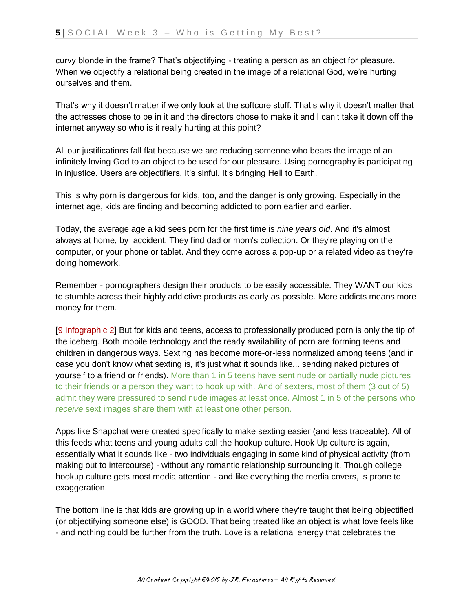curvy blonde in the frame? That's objectifying - treating a person as an object for pleasure. When we objectify a relational being created in the image of a relational God, we're hurting ourselves and them.

That's why it doesn't matter if we only look at the softcore stuff. That's why it doesn't matter that the actresses chose to be in it and the directors chose to make it and I can't take it down off the internet anyway so who is it really hurting at this point?

All our justifications fall flat because we are reducing someone who bears the image of an infinitely loving God to an object to be used for our pleasure. Using pornography is participating in injustice. Users are objectifiers. It's sinful. It's bringing Hell to Earth.

This is why porn is dangerous for kids, too, and the danger is only growing. Especially in the internet age, kids are finding and becoming addicted to porn earlier and earlier.

Today, the average age a kid sees porn for the first time is *nine years old*. And it's almost always at home, by accident. They find dad or mom's collection. Or they're playing on the computer, or your phone or tablet. And they come across a pop-up or a related video as they're doing homework.

Remember - pornographers design their products to be easily accessible. They WANT our kids to stumble across their highly addictive products as early as possible. More addicts means more money for them.

[9 Infographic 2] But for kids and teens, access to professionally produced porn is only the tip of the iceberg. Both mobile technology and the ready availability of porn are forming teens and children in dangerous ways. Sexting has become more-or-less normalized among teens (and in case you don't know what sexting is, it's just what it sounds like... sending naked pictures of yourself to a friend or friends). More than 1 in 5 teens have sent nude or partially nude pictures to their friends or a person they want to hook up with. And of sexters, most of them (3 out of 5) admit they were pressured to send nude images at least once. Almost 1 in 5 of the persons who *receive* sext images share them with at least one other person.

Apps like Snapchat were created specifically to make sexting easier (and less traceable). All of this feeds what teens and young adults call the hookup culture. Hook Up culture is again, essentially what it sounds like - two individuals engaging in some kind of physical activity (from making out to intercourse) - without any romantic relationship surrounding it. Though college hookup culture gets most media attention - and like everything the media covers, is prone to exaggeration.

The bottom line is that kids are growing up in a world where they're taught that being objectified (or objectifying someone else) is GOOD. That being treated like an object is what love feels like - and nothing could be further from the truth. Love is a relational energy that celebrates the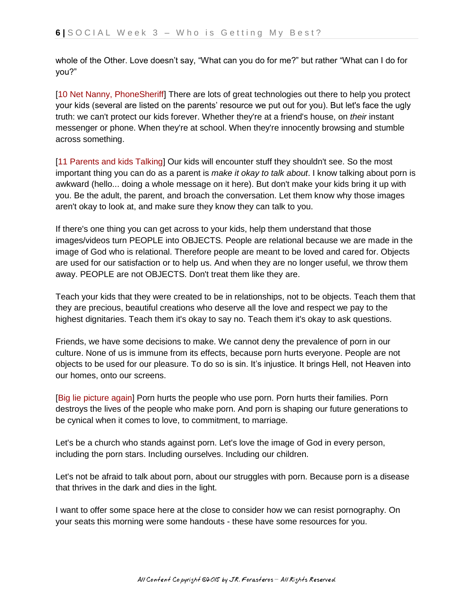whole of the Other. Love doesn't say, "What can you do for me?" but rather "What can I do for you?"

[10 Net Nanny, PhoneSheriff] There are lots of great technologies out there to help you protect your kids (several are listed on the parents' resource we put out for you). But let's face the ugly truth: we can't protect our kids forever. Whether they're at a friend's house, on *their* instant messenger or phone. When they're at school. When they're innocently browsing and stumble across something.

[11 Parents and kids Talking] Our kids will encounter stuff they shouldn't see. So the most important thing you can do as a parent is *make it okay to talk about*. I know talking about porn is awkward (hello... doing a whole message on it here). But don't make your kids bring it up with you. Be the adult, the parent, and broach the conversation. Let them know why those images aren't okay to look at, and make sure they know they can talk to you.

If there's one thing you can get across to your kids, help them understand that those images/videos turn PEOPLE into OBJECTS. People are relational because we are made in the image of God who is relational. Therefore people are meant to be loved and cared for. Objects are used for our satisfaction or to help us. And when they are no longer useful, we throw them away. PEOPLE are not OBJECTS. Don't treat them like they are.

Teach your kids that they were created to be in relationships, not to be objects. Teach them that they are precious, beautiful creations who deserve all the love and respect we pay to the highest dignitaries. Teach them it's okay to say no. Teach them it's okay to ask questions.

Friends, we have some decisions to make. We cannot deny the prevalence of porn in our culture. None of us is immune from its effects, because porn hurts everyone. People are not objects to be used for our pleasure. To do so is sin. It's injustice. It brings Hell, not Heaven into our homes, onto our screens.

[Big lie picture again] Porn hurts the people who use porn. Porn hurts their families. Porn destroys the lives of the people who make porn. And porn is shaping our future generations to be cynical when it comes to love, to commitment, to marriage.

Let's be a church who stands against porn. Let's love the image of God in every person, including the porn stars. Including ourselves. Including our children.

Let's not be afraid to talk about porn, about our struggles with porn. Because porn is a disease that thrives in the dark and dies in the light.

I want to offer some space here at the close to consider how we can resist pornography. On your seats this morning were some handouts - these have some resources for you.